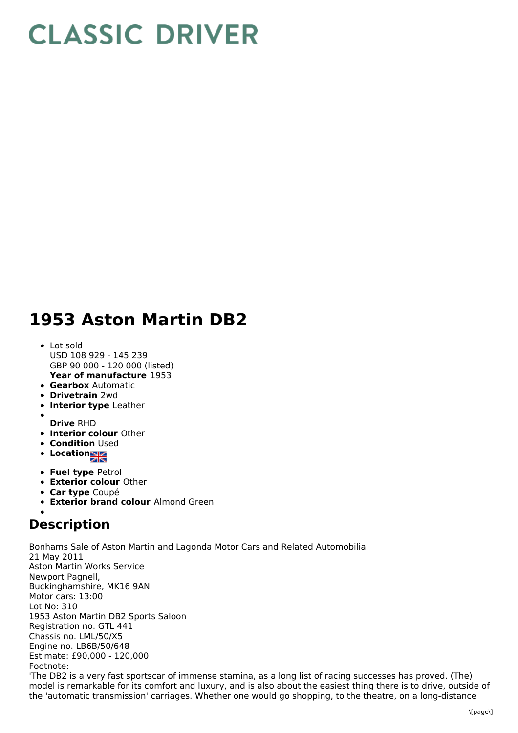## **CLASSIC DRIVER**

## **1953 Aston Martin DB2**

- **Year of manufacture** 1953 • Lot sold USD 108 929 - 145 239 GBP 90 000 - 120 000 (listed)
- **Gearbox** Automatic
- **Drivetrain** 2wd
- **Interior type** Leather
- **Drive** RHD
- **Interior colour** Other
- **Condition Used**
- **Location**
- **Fuel type** Petrol
- **Exterior colour** Other
- **Car type** Coupé
- **Exterior brand colour** Almond Green

## **Description**

Bonhams Sale of Aston Martin and Lagonda Motor Cars and Related Automobilia 21 May 2011 Aston Martin Works Service Newport Pagnell, Buckinghamshire, MK16 9AN Motor cars: 13:00 Lot No: 310 1953 Aston Martin DB2 Sports Saloon Registration no. GTL 441 Chassis no. LML/50/X5 Engine no. LB6B/50/648 Estimate: £90,000 - 120,000 Footnote: 'The DB2 is a very fast sportscar of immense stamina, as a long list of racing successes has proved. (The) model is remarkable for its comfort and luxury, and is also about the easiest thing there is to drive, outside of the 'automatic transmission' carriages. Whether one would go shopping, to the theatre, on a long-distance